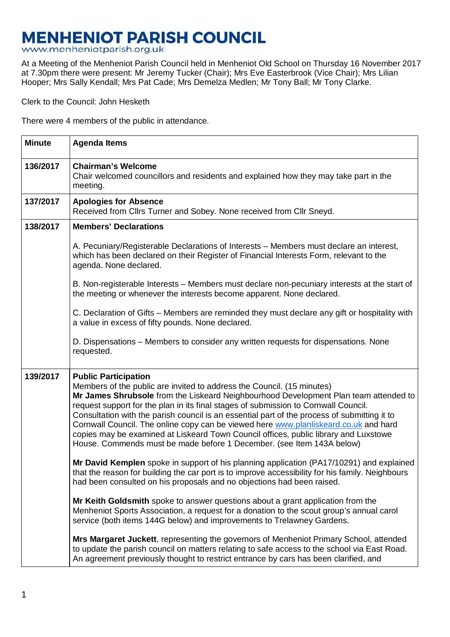## **MENHENIOT PARISH COUNCIL**

www.menheniotparish.org.uk

At a Meeting of the Menheniot Parish Council held in Menheniot Old School on Thursday 16 November 2017 at 7.30pm there were present: Mr Jeremy Tucker (Chair); Mrs Eve Easterbrook (Vice Chair); Mrs Lilian Hooper; Mrs Sally Kendall; Mrs Pat Cade; Mrs Demelza Medlen; Mr Tony Ball; Mr Tony Clarke.

Clerk to the Council: John Hesketh

There were 4 members of the public in attendance.

| <b>Minute</b> | <b>Agenda Items</b>                                                                                                                                                                                                                                                                                                                                                                                                                                                                                                                                                                                                                           |  |  |
|---------------|-----------------------------------------------------------------------------------------------------------------------------------------------------------------------------------------------------------------------------------------------------------------------------------------------------------------------------------------------------------------------------------------------------------------------------------------------------------------------------------------------------------------------------------------------------------------------------------------------------------------------------------------------|--|--|
| 136/2017      | <b>Chairman's Welcome</b><br>Chair welcomed councillors and residents and explained how they may take part in the<br>meeting.                                                                                                                                                                                                                                                                                                                                                                                                                                                                                                                 |  |  |
| 137/2017      | <b>Apologies for Absence</b><br>Received from Cllrs Turner and Sobey. None received from Cllr Sneyd.                                                                                                                                                                                                                                                                                                                                                                                                                                                                                                                                          |  |  |
| 138/2017      | <b>Members' Declarations</b>                                                                                                                                                                                                                                                                                                                                                                                                                                                                                                                                                                                                                  |  |  |
|               | A. Pecuniary/Registerable Declarations of Interests – Members must declare an interest,<br>which has been declared on their Register of Financial Interests Form, relevant to the<br>agenda. None declared.                                                                                                                                                                                                                                                                                                                                                                                                                                   |  |  |
|               | B. Non-registerable Interests - Members must declare non-pecuniary interests at the start of<br>the meeting or whenever the interests become apparent. None declared.                                                                                                                                                                                                                                                                                                                                                                                                                                                                         |  |  |
|               | C. Declaration of Gifts – Members are reminded they must declare any gift or hospitality with<br>a value in excess of fifty pounds. None declared.                                                                                                                                                                                                                                                                                                                                                                                                                                                                                            |  |  |
|               | D. Dispensations – Members to consider any written requests for dispensations. None<br>requested.                                                                                                                                                                                                                                                                                                                                                                                                                                                                                                                                             |  |  |
| 139/2017      | <b>Public Participation</b><br>Members of the public are invited to address the Council. (15 minutes)<br>Mr James Shrubsole from the Liskeard Neighbourhood Development Plan team attended to<br>request support for the plan in its final stages of submission to Cornwall Council.<br>Consultation with the parish council is an essential part of the process of submitting it to<br>Cornwall Council. The online copy can be viewed here www.planliskeard.co.uk and hard<br>copies may be examined at Liskeard Town Council offices, public library and Luxstowe<br>House. Commends must be made before 1 December. (see Item 143A below) |  |  |
|               | Mr David Kemplen spoke in support of his planning application (PA17/10291) and explained<br>that the reason for building the car port is to improve accessibility for his family. Neighbours<br>had been consulted on his proposals and no objections had been raised.                                                                                                                                                                                                                                                                                                                                                                        |  |  |
|               | Mr Keith Goldsmith spoke to answer questions about a grant application from the<br>Menheniot Sports Association, a request for a donation to the scout group's annual carol<br>service (both items 144G below) and improvements to Trelawney Gardens.                                                                                                                                                                                                                                                                                                                                                                                         |  |  |
|               | Mrs Margaret Juckett, representing the governors of Menheniot Primary School, attended<br>to update the parish council on matters relating to safe access to the school via East Road.<br>An agreement previously thought to restrict entrance by cars has been clarified, and                                                                                                                                                                                                                                                                                                                                                                |  |  |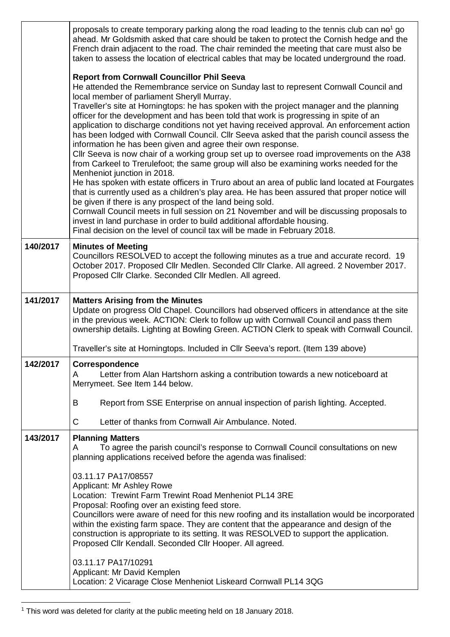|          | proposals to create temporary parking along the road leading to the tennis club can ne <sup>1</sup> go<br>ahead. Mr Goldsmith asked that care should be taken to protect the Cornish hedge and the<br>French drain adjacent to the road. The chair reminded the meeting that care must also be<br>taken to assess the location of electrical cables that may be located underground the road.                                                                                                                                                                                                                                                                                                                                                                                                                                                                                                                                                                                                                                                                                                                                                                                                                                                                                                                                                                                        |  |  |
|----------|--------------------------------------------------------------------------------------------------------------------------------------------------------------------------------------------------------------------------------------------------------------------------------------------------------------------------------------------------------------------------------------------------------------------------------------------------------------------------------------------------------------------------------------------------------------------------------------------------------------------------------------------------------------------------------------------------------------------------------------------------------------------------------------------------------------------------------------------------------------------------------------------------------------------------------------------------------------------------------------------------------------------------------------------------------------------------------------------------------------------------------------------------------------------------------------------------------------------------------------------------------------------------------------------------------------------------------------------------------------------------------------|--|--|
|          | <b>Report from Cornwall Councillor Phil Seeva</b><br>He attended the Remembrance service on Sunday last to represent Cornwall Council and<br>local member of parliament Sheryll Murray.<br>Traveller's site at Horningtops: he has spoken with the project manager and the planning<br>officer for the development and has been told that work is progressing in spite of an<br>application to discharge conditions not yet having received approval. An enforcement action<br>has been lodged with Cornwall Council. Cllr Seeva asked that the parish council assess the<br>information he has been given and agree their own response.<br>CIIr Seeva is now chair of a working group set up to oversee road improvements on the A38<br>from Carkeel to Trerulefoot; the same group will also be examining works needed for the<br>Menheniot junction in 2018.<br>He has spoken with estate officers in Truro about an area of public land located at Fourgates<br>that is currently used as a children's play area. He has been assured that proper notice will<br>be given if there is any prospect of the land being sold.<br>Cornwall Council meets in full session on 21 November and will be discussing proposals to<br>invest in land purchase in order to build additional affordable housing.<br>Final decision on the level of council tax will be made in February 2018. |  |  |
| 140/2017 | <b>Minutes of Meeting</b><br>Councillors RESOLVED to accept the following minutes as a true and accurate record. 19<br>October 2017. Proposed Cllr Medlen. Seconded Cllr Clarke. All agreed. 2 November 2017.<br>Proposed Cllr Clarke. Seconded Cllr Medlen. All agreed.                                                                                                                                                                                                                                                                                                                                                                                                                                                                                                                                                                                                                                                                                                                                                                                                                                                                                                                                                                                                                                                                                                             |  |  |
| 141/2017 | <b>Matters Arising from the Minutes</b><br>Update on progress Old Chapel. Councillors had observed officers in attendance at the site<br>in the previous week. ACTION: Clerk to follow up with Cornwall Council and pass them<br>ownership details. Lighting at Bowling Green. ACTION Clerk to speak with Cornwall Council.<br>Traveller's site at Horningtops. Included in Cllr Seeva's report. (Item 139 above)                                                                                                                                                                                                                                                                                                                                                                                                                                                                                                                                                                                                                                                                                                                                                                                                                                                                                                                                                                    |  |  |
| 142/2017 | Correspondence<br>Letter from Alan Hartshorn asking a contribution towards a new noticeboard at<br>A<br>Merrymeet. See Item 144 below.<br>Report from SSE Enterprise on annual inspection of parish lighting. Accepted.<br>B<br>C<br>Letter of thanks from Cornwall Air Ambulance. Noted.                                                                                                                                                                                                                                                                                                                                                                                                                                                                                                                                                                                                                                                                                                                                                                                                                                                                                                                                                                                                                                                                                            |  |  |
| 143/2017 | <b>Planning Matters</b><br>To agree the parish council's response to Cornwall Council consultations on new<br>A<br>planning applications received before the agenda was finalised:<br>03.11.17 PA17/08557<br>Applicant: Mr Ashley Rowe<br>Location: Trewint Farm Trewint Road Menheniot PL14 3RE<br>Proposal: Roofing over an existing feed store.<br>Councillors were aware of need for this new roofing and its installation would be incorporated<br>within the existing farm space. They are content that the appearance and design of the<br>construction is appropriate to its setting. It was RESOLVED to support the application.<br>Proposed Cllr Kendall. Seconded Cllr Hooper. All agreed.<br>03.11.17 PA17/10291<br>Applicant: Mr David Kemplen<br>Location: 2 Vicarage Close Menheniot Liskeard Cornwall PL14 3QG                                                                                                                                                                                                                                                                                                                                                                                                                                                                                                                                                       |  |  |

 1 This word was deleted for clarity at the public meeting held on 18 January 2018.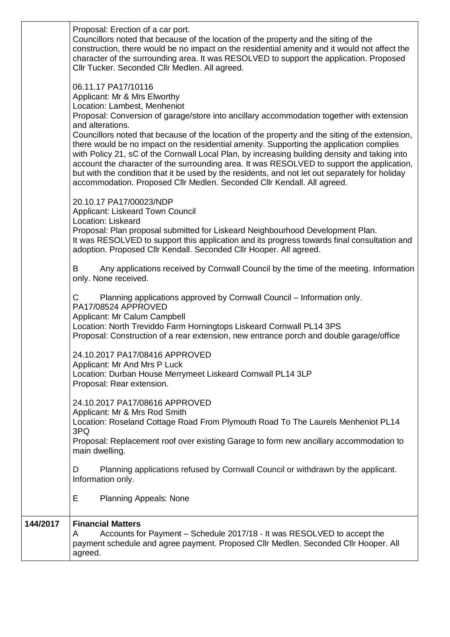|          | Proposal: Erection of a car port.<br>Councillors noted that because of the location of the property and the siting of the<br>construction, there would be no impact on the residential amenity and it would not affect the<br>character of the surrounding area. It was RESOLVED to support the application. Proposed<br>Cllr Tucker. Seconded Cllr Medlen. All agreed.                                                                                                                                                                                                                                                                                                                                                                                                          |
|----------|----------------------------------------------------------------------------------------------------------------------------------------------------------------------------------------------------------------------------------------------------------------------------------------------------------------------------------------------------------------------------------------------------------------------------------------------------------------------------------------------------------------------------------------------------------------------------------------------------------------------------------------------------------------------------------------------------------------------------------------------------------------------------------|
|          | 06.11.17 PA17/10116<br>Applicant: Mr & Mrs Elworthy<br>Location: Lambest, Menheniot<br>Proposal: Conversion of garage/store into ancillary accommodation together with extension<br>and alterations.<br>Councillors noted that because of the location of the property and the siting of the extension,<br>there would be no impact on the residential amenity. Supporting the application complies<br>with Policy 21, sC of the Cornwall Local Plan, by increasing building density and taking into<br>account the character of the surrounding area. It was RESOLVED to support the application,<br>but with the condition that it be used by the residents, and not let out separately for holiday<br>accommodation. Proposed Cllr Medlen. Seconded Cllr Kendall. All agreed. |
|          | 20.10.17 PA17/00023/NDP<br>Applicant: Liskeard Town Council<br>Location: Liskeard<br>Proposal: Plan proposal submitted for Liskeard Neighbourhood Development Plan.<br>It was RESOLVED to support this application and its progress towards final consultation and<br>adoption. Proposed Cllr Kendall. Seconded Cllr Hooper. All agreed.                                                                                                                                                                                                                                                                                                                                                                                                                                         |
|          | Any applications received by Cornwall Council by the time of the meeting. Information<br>B<br>only. None received.                                                                                                                                                                                                                                                                                                                                                                                                                                                                                                                                                                                                                                                               |
|          | C<br>Planning applications approved by Cornwall Council – Information only.<br>PA17/08524 APPROVED<br>Applicant: Mr Calum Campbell<br>Location: North Treviddo Farm Horningtops Liskeard Cornwall PL14 3PS<br>Proposal: Construction of a rear extension, new entrance porch and double garage/office                                                                                                                                                                                                                                                                                                                                                                                                                                                                            |
|          | 24.10.2017 PA17/08416 APPROVED<br>Applicant: Mr And Mrs P Luck<br>Location: Durban House Merrymeet Liskeard Cornwall PL14 3LP<br>Proposal: Rear extension.                                                                                                                                                                                                                                                                                                                                                                                                                                                                                                                                                                                                                       |
|          | 24.10.2017 PA17/08616 APPROVED<br>Applicant: Mr & Mrs Rod Smith<br>Location: Roseland Cottage Road From Plymouth Road To The Laurels Menheniot PL14<br>3PQ<br>Proposal: Replacement roof over existing Garage to form new ancillary accommodation to<br>main dwelling.                                                                                                                                                                                                                                                                                                                                                                                                                                                                                                           |
|          | Planning applications refused by Cornwall Council or withdrawn by the applicant.<br>D<br>Information only.<br>Е<br><b>Planning Appeals: None</b>                                                                                                                                                                                                                                                                                                                                                                                                                                                                                                                                                                                                                                 |
| 144/2017 | <b>Financial Matters</b><br>Accounts for Payment - Schedule 2017/18 - It was RESOLVED to accept the<br>A<br>payment schedule and agree payment. Proposed Cllr Medlen. Seconded Cllr Hooper. All<br>agreed.                                                                                                                                                                                                                                                                                                                                                                                                                                                                                                                                                                       |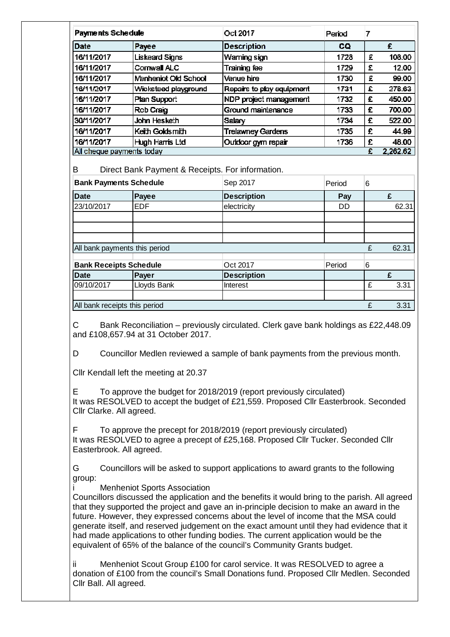| Payments Schedule         |                             | Oct 2017                  | Period | 7        |        |
|---------------------------|-----------------------------|---------------------------|--------|----------|--------|
| Date                      | Payee                       | <b>Description</b>        | CQ.    |          | £      |
| 16/11/2017                | <b>Liskeard Signs</b>       | Waming sign               | 1728   | £        | 108.00 |
| 16/11/2017                | Cornwall ALC                | Training fee              | 1729   | £        | 12.00  |
| 16/11/2017                | <b>Menheniot Old School</b> | Venue hire                | 1730   | £        | 99.00  |
| 16/11/2017                | Wicksteed playground        | Repairs to play equipment | 1731   | £        | 278.63 |
| 16/11/2017                | Plan Support                | NDP project management    | 1732   | £        | 450.00 |
| 16/11/2017                | Rob Craig                   | Ground maintenance        | 1733   | £        | 700.00 |
| 30/11/2017                | John Hesketh                | Salary                    | 1734   | £        | 522.00 |
| 16/11/2017                | Keith Goldsmith             | <b>Trelawney Gardens</b>  | 1735   | £        | 44.99  |
| 16/11/2017                | Hugh Harris Ltd             | Outdoor gym repair        | 1736   | £        | 48.00  |
| All cheque payments today |                             |                           | £      | 2,262.62 |        |

B Direct Bank Payment & Receipts. For information.

| <b>Bank Payments Schedule</b> |             | Sep 2017           | Period | 6 |       |
|-------------------------------|-------------|--------------------|--------|---|-------|
| <b>Date</b>                   | Payee       | <b>Description</b> | Pay    |   | £     |
| 23/10/2017                    | <b>EDF</b>  | electricity        | DD     |   | 62.31 |
|                               |             |                    |        |   |       |
|                               |             |                    |        |   |       |
|                               |             |                    |        |   |       |
| All bank payments this period |             |                    |        | £ | 62.31 |
| <b>Bank Receipts Schedule</b> |             | Oct 2017           | Period | 6 |       |
| <b>Date</b>                   | Payer       | <b>Description</b> |        |   | £     |
| 09/10/2017                    | Lloyds Bank | Interest           |        | £ | 3.31  |
|                               |             |                    |        |   |       |
| All bank receipts this period |             |                    |        | £ | 3.31  |

C Bank Reconciliation – previously circulated. Clerk gave bank holdings as £22,448.09 and £108,657.94 at 31 October 2017.

D Councillor Medlen reviewed a sample of bank payments from the previous month.

Cllr Kendall left the meeting at 20.37

E To approve the budget for 2018/2019 (report previously circulated) It was RESOLVED to accept the budget of £21,559. Proposed Cllr Easterbrook. Seconded Cllr Clarke. All agreed.

F To approve the precept for 2018/2019 (report previously circulated) It was RESOLVED to agree a precept of £25,168. Proposed Cllr Tucker. Seconded Cllr Easterbrook. All agreed.

G Councillors will be asked to support applications to award grants to the following group:

Menheniot Sports Association

Councillors discussed the application and the benefits it would bring to the parish. All agreed that they supported the project and gave an in-principle decision to make an award in the future. However, they expressed concerns about the level of income that the MSA could generate itself, and reserved judgement on the exact amount until they had evidence that it had made applications to other funding bodies. The current application would be the equivalent of 65% of the balance of the council's Community Grants budget.

ii Menheniot Scout Group £100 for carol service. It was RESOLVED to agree a donation of £100 from the council's Small Donations fund. Proposed Cllr Medlen. Seconded Cllr Ball. All agreed.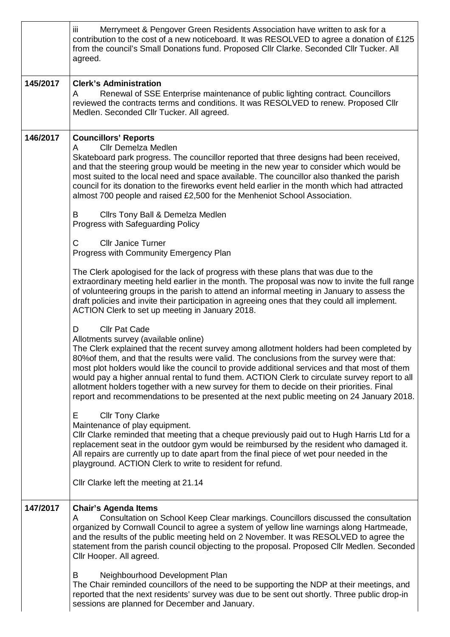|          | iii<br>Merrymeet & Pengover Green Residents Association have written to ask for a<br>contribution to the cost of a new noticeboard. It was RESOLVED to agree a donation of £125<br>from the council's Small Donations fund. Proposed Cllr Clarke. Seconded Cllr Tucker. All<br>agreed.                                                                                                                                                                                                                                                                                                                                                                 |  |
|----------|--------------------------------------------------------------------------------------------------------------------------------------------------------------------------------------------------------------------------------------------------------------------------------------------------------------------------------------------------------------------------------------------------------------------------------------------------------------------------------------------------------------------------------------------------------------------------------------------------------------------------------------------------------|--|
| 145/2017 | <b>Clerk's Administration</b><br>Renewal of SSE Enterprise maintenance of public lighting contract. Councillors<br>A<br>reviewed the contracts terms and conditions. It was RESOLVED to renew. Proposed Cllr<br>Medlen. Seconded Cllr Tucker. All agreed.                                                                                                                                                                                                                                                                                                                                                                                              |  |
| 146/2017 | <b>Councillors' Reports</b><br><b>Cllr Demelza Medlen</b><br>A<br>Skateboard park progress. The councillor reported that three designs had been received,<br>and that the steering group would be meeting in the new year to consider which would be<br>most suited to the local need and space available. The councillor also thanked the parish<br>council for its donation to the fireworks event held earlier in the month which had attracted<br>almost 700 people and raised £2,500 for the Menheniot School Association.                                                                                                                        |  |
|          | Cllrs Tony Ball & Demelza Medlen<br>B<br>Progress with Safeguarding Policy                                                                                                                                                                                                                                                                                                                                                                                                                                                                                                                                                                             |  |
|          | <b>Cllr Janice Turner</b><br>C<br>Progress with Community Emergency Plan                                                                                                                                                                                                                                                                                                                                                                                                                                                                                                                                                                               |  |
|          | The Clerk apologised for the lack of progress with these plans that was due to the<br>extraordinary meeting held earlier in the month. The proposal was now to invite the full range<br>of volunteering groups in the parish to attend an informal meeting in January to assess the<br>draft policies and invite their participation in agreeing ones that they could all implement.<br>ACTION Clerk to set up meeting in January 2018.                                                                                                                                                                                                                |  |
|          | <b>Cllr Pat Cade</b><br>D<br>Allotments survey (available online)<br>The Clerk explained that the recent survey among allotment holders had been completed by<br>80% of them, and that the results were valid. The conclusions from the survey were that:<br>most plot holders would like the council to provide additional services and that most of them<br>would pay a higher annual rental to fund them. ACTION Clerk to circulate survey report to all<br>allotment holders together with a new survey for them to decide on their priorities. Final<br>report and recommendations to be presented at the next public meeting on 24 January 2018. |  |
|          | E<br><b>Cllr Tony Clarke</b><br>Maintenance of play equipment.<br>CIIr Clarke reminded that meeting that a cheque previously paid out to Hugh Harris Ltd for a<br>replacement seat in the outdoor gym would be reimbursed by the resident who damaged it.<br>All repairs are currently up to date apart from the final piece of wet pour needed in the<br>playground. ACTION Clerk to write to resident for refund.                                                                                                                                                                                                                                    |  |
|          | Cllr Clarke left the meeting at 21.14                                                                                                                                                                                                                                                                                                                                                                                                                                                                                                                                                                                                                  |  |
| 147/2017 | <b>Chair's Agenda Items</b><br>Consultation on School Keep Clear markings. Councillors discussed the consultation<br>A<br>organized by Cornwall Council to agree a system of yellow line warnings along Hartmeade,<br>and the results of the public meeting held on 2 November. It was RESOLVED to agree the<br>statement from the parish council objecting to the proposal. Proposed Cllr Medlen. Seconded<br>Cllr Hooper. All agreed.                                                                                                                                                                                                                |  |
|          | Neighbourhood Development Plan<br>B<br>The Chair reminded councillors of the need to be supporting the NDP at their meetings, and<br>reported that the next residents' survey was due to be sent out shortly. Three public drop-in<br>sessions are planned for December and January.                                                                                                                                                                                                                                                                                                                                                                   |  |